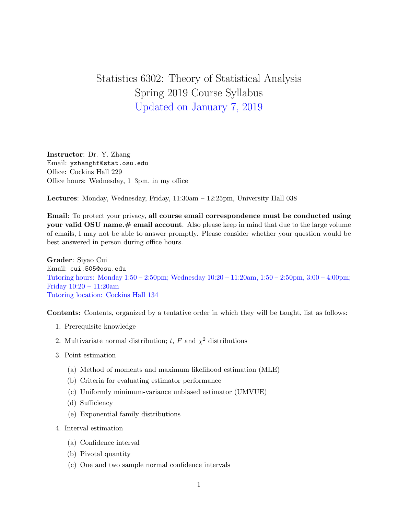## Statistics 6302: Theory of Statistical Analysis Spring 2019 Course Syllabus Updated on January 7, 2019

Instructor: Dr. Y. Zhang Email: yzhanghf@stat.osu.edu Office: Cockins Hall 229 Office hours: Wednesday, 1–3pm, in my office

Lectures: Monday, Wednesday, Friday, 11:30am – 12:25pm, University Hall 038

Email: To protect your privacy, all course email correspondence must be conducted using your valid OSU name. $#$  email account. Also please keep in mind that due to the large volume of emails, I may not be able to answer promptly. Please consider whether your question would be best answered in person during office hours.

Grader: Siyao Cui Email: cui.505@osu.edu Tutoring hours: Monday 1:50 – 2:50pm; Wednesday 10:20 – 11:20am, 1:50 – 2:50pm, 3:00 – 4:00pm; Friday 10:20 – 11:20am Tutoring location: Cockins Hall 134

Contents: Contents, organized by a tentative order in which they will be taught, list as follows:

- 1. Prerequisite knowledge
- 2. Multivariate normal distribution; t, F and  $\chi^2$  distributions
- 3. Point estimation
	- (a) Method of moments and maximum likelihood estimation (MLE)
	- (b) Criteria for evaluating estimator performance
	- (c) Uniformly minimum-variance unbiased estimator (UMVUE)
	- (d) Sufficiency
	- (e) Exponential family distributions
- 4. Interval estimation
	- (a) Confidence interval
	- (b) Pivotal quantity
	- (c) One and two sample normal confidence intervals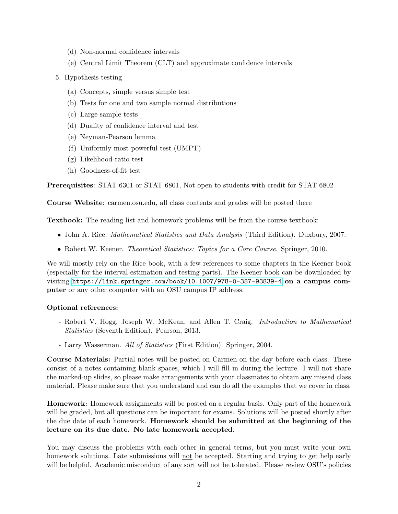- (d) Non-normal confidence intervals
- (e) Central Limit Theorem (CLT) and approximate confidence intervals
- 5. Hypothesis testing
	- (a) Concepts, simple versus simple test
	- (b) Tests for one and two sample normal distributions
	- (c) Large sample tests
	- (d) Duality of confidence interval and test
	- (e) Neyman-Pearson lemma
	- (f) Uniformly most powerful test (UMPT)
	- (g) Likelihood-ratio test
	- (h) Goodness-of-fit test

Prerequisites: STAT 6301 or STAT 6801, Not open to students with credit for STAT 6802

Course Website: carmen.osu.edu, all class contents and grades will be posted there

Textbook: The reading list and homework problems will be from the course textbook:

- John A. Rice. Mathematical Statistics and Data Analysis (Third Edition). Duxbury, 2007.
- Robert W. Keener. *Theoretical Statistics: Topics for a Core Course*. Springer, 2010.

We will mostly rely on the Rice book, with a few references to some chapters in the Keener book (especially for the interval estimation and testing parts). The Keener book can be downloaded by visiting <https://link.springer.com/book/10.1007/978-0-387-93839-4> on a campus computer or any other computer with an OSU campus IP address.

## Optional references:

- Robert V. Hogg, Joseph W. McKean, and Allen T. Craig. *Introduction to Mathematical* Statistics (Seventh Edition). Pearson, 2013.
- Larry Wasserman. All of Statistics (First Edition). Springer, 2004.

Course Materials: Partial notes will be posted on Carmen on the day before each class. These consist of a notes containing blank spaces, which I will fill in during the lecture. I will not share the marked-up slides, so please make arrangements with your classmates to obtain any missed class material. Please make sure that you understand and can do all the examples that we cover in class.

Homework: Homework assignments will be posted on a regular basis. Only part of the homework will be graded, but all questions can be important for exams. Solutions will be posted shortly after the due date of each homework. Homework should be submitted at the beginning of the lecture on its due date. No late homework accepted.

You may discuss the problems with each other in general terms, but you must write your own homework solutions. Late submissions will not be accepted. Starting and trying to get help early will be helpful. Academic misconduct of any sort will not be tolerated. Please review OSU's policies